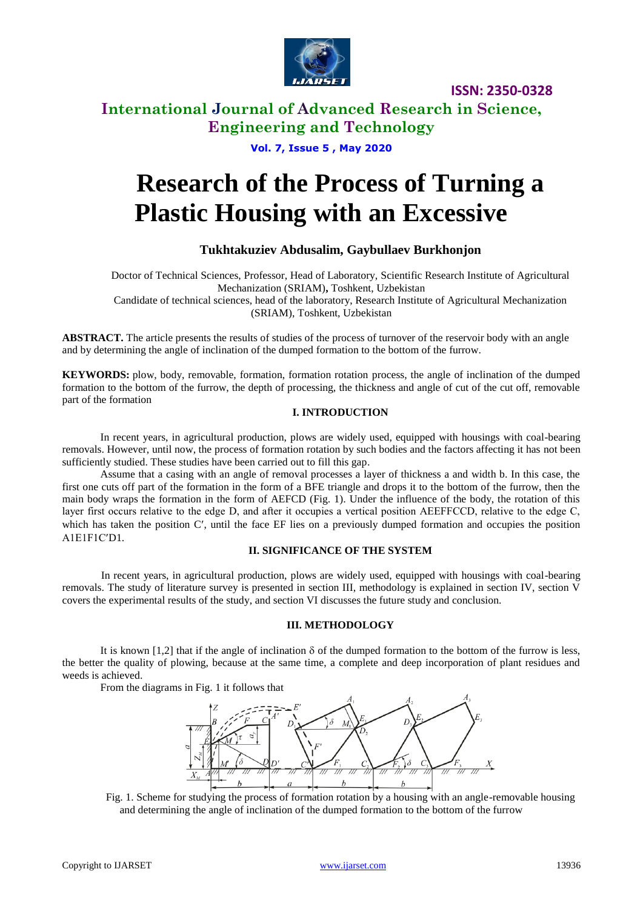

**ISSN: 2350-0328**

# **International Journal of Advanced Research in Science, Engineering and Technology**

### **Vol. 7, Issue 5 , May 2020**

# **Research of the Process of Turning a Plastic Housing with an Excessive**

### **Tukhtakuziev Abdusalim, Gaybullaev Burkhonjon**

Doctor of Technical Sciences, Professor, Head of Laboratory, Scientific Research Institute of Agricultural Mechanization (SRIAM)**,** Toshkent, Uzbekistan Candidate of technical sciences, head of the laboratory, Research Institute of Agricultural Mechanization (SRIAM), Toshkent, Uzbekistan

**ABSTRACT.** The article presents the results of studies of the process of turnover of the reservoir body with an angle and by determining the angle of inclination of the dumped formation to the bottom of the furrow.

**KEYWORDS:** plow, body, removable, formation, formation rotation process, the angle of inclination of the dumped formation to the bottom of the furrow, the depth of processing, the thickness and angle of cut of the cut off, removable part of the formation

### **I. INTRODUCTION**

In recent years, in agricultural production, plows are widely used, equipped with housings with coal-bearing removals. However, until now, the process of formation rotation by such bodies and the factors affecting it has not been sufficiently studied. These studies have been carried out to fill this gap.

Assume that a casing with an angle of removal processes a layer of thickness a and width b. In this case, the first one cuts off part of the formation in the form of a BFE triangle and drops it to the bottom of the furrow, then the main body wraps the formation in the form of AEFCD (Fig. 1). Under the influence of the body, the rotation of this layer first occurs relative to the edge D, and after it occupies a vertical position АEEFFССD, relative to the edge С, which has taken the position C', until the face EF lies on a previously dumped formation and occupies the position A1E1F1C'D1.

#### **II. SIGNIFICANCE OF THE SYSTEM**

In recent years, in agricultural production, plows are widely used, equipped with housings with coal-bearing removals. The study of literature survey is presented in section III, methodology is explained in section IV, section V covers the experimental results of the study, and section VI discusses the future study and conclusion.

#### **III. METHODOLOGY**

It is known [1,2] that if the angle of inclination  $\delta$  of the dumped formation to the bottom of the furrow is less, the better the quality of plowing, because at the same time, a complete and deep incorporation of plant residues and weeds is achieved.

From the diagrams in Fig. 1 it follows that



Fig. 1. Scheme for studying the process of formation rotation by a housing with an angle-removable housing and determining the angle of inclination of the dumped formation to the bottom of the furrow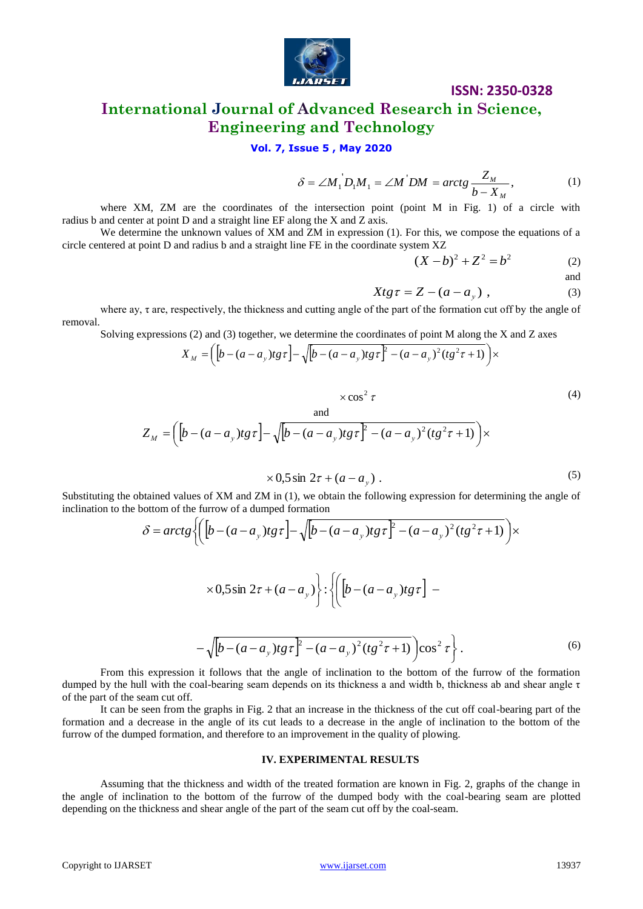

# **ISSN: 2350-0328**

# **International Journal of Advanced Research in Science, Engineering and Technology**

### **Vol. 7, Issue 5 , May 2020**

$$
\delta = \angle M_1 D_1 M_1 = \angle M D_1 M = \arctg \frac{Z_M}{b - X_M},
$$
 (1)

where XM, ZM are the coordinates of the intersection point (point M in Fig. 1) of a circle with radius b and center at point D and a straight line EF along the X and Z axis.

We determine the unknown values of XM and ZM in expression (1). For this, we compose the equations of a circle centered at point D and radius b and a straight line FE in the coordinate system XZ

$$
(X - b)^2 + Z^2 = b^2 \tag{2}
$$

and

$$
Xtg\tau = Z - (a - a_y) , \qquad (3)
$$

where ay, τ are, respectively, the thickness and cutting angle of the part of the formation cut off by the angle of removal.

Solving expressions (2) and (3) together, we determine the coordinates of point M along the X and Z axes

$$
X_M = \left( \left[ b - (a - a_y) t g \tau \right] - \sqrt{\left[ b - (a - a_y) t g \tau \right]^2 - (a - a_y)^2 (t g^2 \tau + 1)} \right) \times
$$

$$
\times \cos^2 \tau
$$
\n
$$
Z_M = \left( \left[ b - (a - a_y)tg\tau \right] - \sqrt{\left[ b - (a - a_y)tg\tau \right]^2 - (a - a_y)^2 (tg^2\tau + 1)} \right) \times
$$
\n
$$
(4)
$$

 $\times 0.5 \sin 2\tau + (a - a_y)$ . (5)

inclination to the bottom of the furrow of a dumped formation

Substituting the obtained values of XM and ZM in (1), we obtain the following expression for determining the angle of inclination to the bottom of the furrow of a dumped formation\n
$$
\delta = \arctg \left\{ \left[ \left[ b - (a - a_y)tg\tau \right] - \sqrt{\left[ b - (a - a_y)tg\tau \right]^2 - (a - a_y)^2 (tg^2\tau + 1)} \right] \times \right\}
$$
\n
$$
\times 0.5 \sin 2\tau + (a - a_y) \left\{ \because \left[ \left[ b - (a - a_y)tg\tau \right] - \left[ \left[ \left[ b - (a - a_y)tg\tau \right] \right] \right] \right\} \times \left\{ \left[ \left[ \left[ b - (a - a_y)tg\tau \right] \right] - \left[ \left[ \left[ \left[ b - (a - a_y)tg\tau \right] \right] \right] \right] \right\}
$$

$$
\int (\sqrt{b - (a - a_y)t g \tau})^2 (\sqrt{b - (a - a_y)t g \tau})^2 (t g^2 \tau + 1) \cos^2 \tau.
$$
 (6)

From this expression it follows that the angle of inclination to the bottom of the furrow of the formation dumped by the hull with the coal-bearing seam depends on its thickness a and width b, thickness ab and shear angle  $\tau$ of the part of the seam cut off.

It can be seen from the graphs in Fig. 2 that an increase in the thickness of the cut off coal-bearing part of the formation and a decrease in the angle of its cut leads to a decrease in the angle of inclination to the bottom of the furrow of the dumped formation, and therefore to an improvement in the quality of plowing.

#### **IV. EXPERIMENTAL RESULTS**

Assuming that the thickness and width of the treated formation are known in Fig. 2, graphs of the change in the angle of inclination to the bottom of the furrow of the dumped body with the coal-bearing seam are plotted depending on the thickness and shear angle of the part of the seam cut off by the coal-seam.